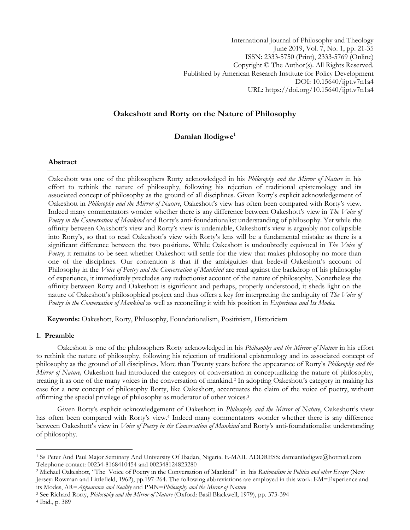International Journal of Philosophy and Theology June 2019, Vol. 7, No. 1, pp. 21-35 ISSN: 2333-5750 (Print), 2333-5769 (Online) Copyright © The Author(s). All Rights Reserved. Published by American Research Institute for Policy Development DOI: 10.15640/ijpt.v7n1a4 URL: https://doi.org/10.15640/ijpt.v7n1a4

# **Oakeshott and Rorty on the Nature of Philosophy**

# **Damian Ilodigwe<sup>1</sup>**

## **Abstract**

Oakeshott was one of the philosophers Rorty acknowledged in his *Philosophy and the Mirror of Nature* in his effort to rethink the nature of philosophy, following his rejection of traditional epistemology and its associated concept of philosophy as the ground of all disciplines. Given Rorty's explicit acknowledgement of Oakeshott in *Philosophy and the Mirror of Nature*, Oakeshott's view has often been compared with Rorty's view. Indeed many commentators wonder whether there is any difference between Oakeshott's view in *The Voice of Poetry in the Conversation of Mankind* and Rorty's anti-foundationalist understanding of philosophy. Yet while the affinity between Oakshott's view and Rorty's view is undeniable, Oakeshott's view is arguably not collapsible into Rorty's, so that to read Oakeshott's view with Rorty's lens will be a fundamental mistake as there is a significant difference between the two positions. While Oakeshott is undoubtedly equivocal in *The Voice of Poetry*, it remains to be seen whether Oakeshott will settle for the view that makes philosophy no more than one of the disciplines. Our contention is that if the ambiguities that bedevil Oakeshott's account of Philosophy in the *Voice of Poetry and the Conversation of Mankind* are read against the backdrop of his philosophy of experience, it immediately precludes any reductionist account of the nature of philosophy. Nonetheless the affinity between Rorty and Oakeshott is significant and perhaps, properly understood, it sheds light on the nature of Oakeshott's philosophical project and thus offers a key for interpreting the ambiguity of *The Voice of Poetry in the Conversation of Mankind* as well as reconciling it with his position in *Experience and Its Modes.*

 **Keywords:** Oakeshott, Rorty, Philosophy, Foundationalism, Positivism, Historicism

## **1. Preamble**

 $\overline{\phantom{a}}$ 

Oakeshott is one of the philosophers Rorty acknowledged in his *Philosophy and the Mirror of Nature* in his effort to rethink the nature of philosophy, following his rejection of traditional epistemology and its associated concept of philosophy as the ground of all disciplines. More than Twenty years before the appearance of Rorty's *Philosophy and the Mirror of Nature,* Oakeshott had introduced the category of conversation in conceptualizing the nature of philosophy, treating it as one of the many voices in the conversation of mankind.<sup>2</sup> In adopting Oakeshott's category in making his case for a new concept of philosophy Rorty, like Oakeshott, accentuates the claim of the voice of poetry, without affirming the special privilege of philosophy as moderator of other voices.<sup>3</sup>

Given Rorty's explicit acknowledgement of Oakeshott in *Philosophy and the Mirror of Nature*, Oakeshott's view has often been compared with Rorty's view.<sup>4</sup> Indeed many commentators wonder whether there is any difference between Oakeshott's view in *Voice of Poetry in the Conversation of Mankind* and Rorty's anti-foundationalist understanding of philosophy.

<sup>1</sup> Ss Peter And Paul Major Seminary And University Of Ibadan, Nigeria. E-MAIL ADDRESS: damianilodigwe@hotmail.com Telephone contact: 00234-8168410454 and 002348124823280

<sup>2</sup> Michael Oakeshott, "The Voice of Poetry in the Conversation of Mankind" in his *Rationalism in Politics and other Essays* (New Jersey: Rowman and Littlefield, 1962), pp.197-264. The following abbreviations are employed in this work: EM=Experience and its Modes, AR=*Appearance and Reality* and PMN=*Philosophy and the Mirror of Nature*

<sup>3</sup> See Richard Rorty, *Philosophy and the Mirror of Nature* (Oxford: Basil Blackwell, 1979), pp. 373-394 <sup>4</sup> Ibid., p. 389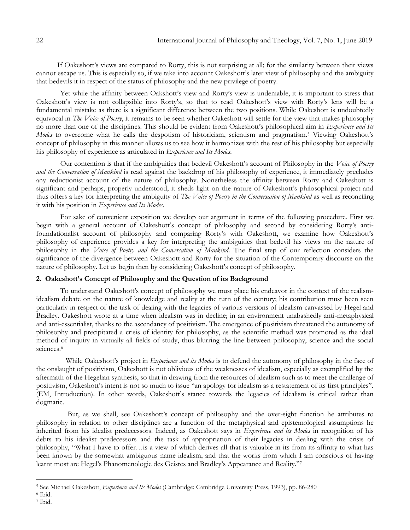If Oakeshott's views are compared to Rorty, this is not surprising at all; for the similarity between their views cannot escape us. This is especially so, if we take into account Oakeshott's later view of philosophy and the ambiguity that bedevils it in respect of the status of philosophy and the new privilege of poetry.

Yet while the affinity between Oakshott's view and Rorty's view is undeniable, it is important to stress that Oakeshott's view is not collapsible into Rorty's, so that to read Oakeshott's view with Rorty's lens will be a fundamental mistake as there is a significant difference between the two positions. While Oakeshott is undoubtedly equivocal in *The Voice of Poetry*, it remains to be seen whether Oakeshott will settle for the view that makes philosophy no more than one of the disciplines. This should be evident from Oakeshott's philosophical aim in *Experience and Its Modes* to overcome what he calls the despotism of historicism, scientism and pragmatism.<sup>5</sup> Viewing Oakeshott's concept of philosophy in this manner allows us to see how it harmonizes with the rest of his philosophy but especially his philosophy of experience as articulated in *Experience and Its Modes.*

Our contention is that if the ambiguities that bedevil Oakeshott's account of Philosophy in the *Voice of Poetry and the Conversation of Mankind* is read against the backdrop of his philosophy of experience, it immediately precludes any reductionist account of the nature of philosophy. Nonetheless the affinity between Rorty and Oakeshott is significant and perhaps, properly understood, it sheds light on the nature of Oakeshott's philosophical project and thus offers a key for interpreting the ambiguity of *The Voice of Poetry in the Conversation of Mankind* as well as reconciling it with his position in *Experience and Its Modes*.

For sake of convenient exposition we develop our argument in terms of the following procedure. First we begin with a general account of Oakeshott's concept of philosophy and second by considering Rorty's antifoundationalist account of philosophy and comparing Rorty's with Oakeshott, we examine how Oakeshott's philosophy of experience provides a key for interpreting the ambiguities that bedevil his views on the nature of philosophy in the *Voice of Poetry and the Conversation of Mankind*. The final step of our reflection considers the significance of the divergence between Oakeshott and Rorty for the situation of the Contemporary discourse on the nature of philosophy. Let us begin then by considering Oakeshott's concept of philosophy.

## **2. Oakeshott's Concept of Philosophy and the Question of its Background**

To understand Oakeshott's concept of philosophy we must place his endeavor in the context of the realismidealism debate on the nature of knowledge and reality at the turn of the century; his contribution must been seen particularly in respect of the task of dealing with the legacies of various versions of idealism canvassed by Hegel and Bradley. Oakeshott wrote at a time when idealism was in decline; in an environment unabashedly anti-metaphysical and anti-essentialist, thanks to the ascendancy of positivism. The emergence of positivism threatened the autonomy of philosophy and precipitated a crisis of identity for philosophy, as the scientific method was promoted as the ideal method of inquiry in virtually all fields of study, thus blurring the line between philosophy, science and the social sciences.<sup>6</sup>

 While Oakeshott's project in *Experience and its Modes* is to defend the autonomy of philosophy in the face of the onslaught of positivism, Oakeshott is not oblivious of the weaknesses of idealism, especially as exemplified by the aftermath of the Hegelian synthesis, so that in drawing from the resources of idealism such as to meet the challenge of positivism, Oakeshott's intent is not so much to issue "an apology for idealism as a restatement of its first principles". (EM, Introduction). In other words, Oakeshott's stance towards the legacies of idealism is critical rather than dogmatic.

 But, as we shall, see Oakeshott's concept of philosophy and the over-sight function he attributes to philosophy in relation to other disciplines are a function of the metaphysical and epistemological assumptions he inherited from his idealist predecessors. Indeed, as Oakeshott says in *Experience and its Modes* in recognition of his debts to his idealist predecessors and the task of appropriation of their legacies in dealing with the crisis of philosophy, "What I have to offer…is a view of which derives all that is valuable in its from its affinity to what has been known by the somewhat ambiguous name idealism, and that the works from which I am conscious of having learnt most are Hegel's Phanomenologie des Geistes and Bradley's Appearance and Reality."7

<sup>5</sup> See Michael Oakeshott, *Experience and Its Modes* (Cambridge: Cambridge University Press, 1993), pp. 86-280

<sup>6</sup> Ibid. <sup>7</sup> Ibid.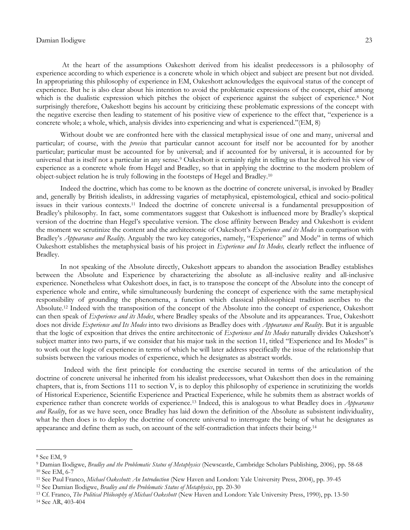At the heart of the assumptions Oakeshott derived from his idealist predecessors is a philosophy of experience according to which experience is a concrete whole in which object and subject are present but not divided. In appropriating this philosophy of experience in EM, Oakeshott acknowledges the equivocal status of the concept of experience. But he is also clear about his intention to avoid the problematic expressions of the concept, chief among which is the dualistic expression which pitches the object of experience against the subject of experience.<sup>8</sup> Not surprisingly therefore, Oakeshott begins his account by criticizing these problematic expressions of the concept with the negative exercise then leading to statement of his positive view of experience to the effect that, "experience is a concrete whole; a whole, which, analysis divides into experiencing and what is experienced."(EM, 8)

Without doubt we are confronted here with the classical metaphysical issue of one and many, universal and particular; of course, with the *proviso* that particular cannot account for itself nor be accounted for by another particular; particular must be accounted for by universal; and if accounted for by universal, it is accounted for by universal that is itself not a particular in any sense.<sup>9</sup> Oakeshott is certainly right in telling us that he derived his view of experience as a concrete whole from Hegel and Bradley, so that in applying the doctrine to the modern problem of object-subject relation he is truly following in the footsteps of Hegel and Bradley.<sup>10</sup>

Indeed the doctrine, which has come to be known as the doctrine of concrete universal, is invoked by Bradley and, generally by British idealists, in addressing vagaries of metaphysical, epistemological, ethical and socio-political issues in their various contexts.<sup>11</sup> Indeed the doctrine of concrete universal is a fundamental presupposition of Bradley's philosophy. In fact, some commentators suggest that Oakeshott is influenced more by Bradley's skeptical version of the doctrine than Hegel's speculative version. The close affinity between Bradey and Oakeshott is evident the moment we scrutinize the content and the architectonic of Oakeshott's *Experience and its Modes* in comparison with Bradley's *Appearance and Reality*. Arguably the two key categories, namely, "Experience" and Mode" in terms of which Oakeshott establishes the metaphysical basis of his project in *Experience and Its Modes,* clearly reflect the influence of Bradley.

In not speaking of the Absolute directly, Oakeshott appears to abandon the association Bradley establishes between the Absolute and Experience by characterizing the absolute as all-inclusive reality and all-inclusive experience. Nonetheless what Oakeshott does, in fact, is to transpose the concept of the Absolute into the concept of experience whole and entire, while simultaneously burdening the concept of experience with the same metaphysical responsibility of grounding the phenomena, a function which classical philosophical tradition ascribes to the Absolute.<sup>12</sup> Indeed with the transposition of the concept of the Absolute into the concept of experience, Oakeshott can then speak of *Experience and its Modes*, where Bradley speaks of the Absolute and its appearances. True, Oakeshott does not divide *Experience and Its Modes* into two divisions as Bradley does with *Appearance and Reality*. But it is arguable that the logic of exposition that drives the entire architectonic of *Experience and Its Modes* naturally divides Oakeshott's subject matter into two parts, if we consider that his major task in the section 11, titled "Experience and Its Modes" is to work out the logic of experience in terms of which he will later address specifically the issue of the relationship that subsists between the various modes of experience, which he designates as abstract worlds.

 Indeed with the first principle for conducting the exercise secured in terms of the articulation of the doctrine of concrete universal he inherited from his idealist predecessors, what Oakeshott then does in the remaining chapters, that is, from Sections 111 to section V, is to deploy this philosophy of experience in scrutinizing the worlds of Historical Experience, Scientific Experience and Practical Experience, while he submits them as abstract worlds of experience rather than concrete worlds of experience.<sup>13</sup> Indeed, this is analogous to what Bradley does in *Appearance and Reality*, for as we have seen, once Bradley has laid down the definition of the Absolute as subsistent individuality, what he then does is to deploy the doctrine of concrete universal to interrogate the being of what he designates as appearance and define them as such, on account of the self-contradiction that infects their being.<sup>14</sup>

<sup>8</sup> See EM, 9

<sup>9</sup> Damian Ilodigwe, *Bradley and the Problematic Status of Metaphysics* (Newscastle, Cambridge Scholars Publishing, 2006), pp. 58-68 <sup>10</sup> See EM, 6-7

<sup>11</sup> See Paul Franco, *Michael Oakeshott: An Introduction* (New Haven and London: Yale University Press, 2004), pp. 39-45

<sup>12</sup> See Damian Ilodigwe, *Bradley and the Problematic Status of Metaphysics*, pp. 20-30

<sup>13</sup> Cf. Franco, *The Political Philosophy of Michael Oakeshott* (New Haven and London: Yale University Press, 1990), pp. 13-50 <sup>14</sup> See AR, 403-404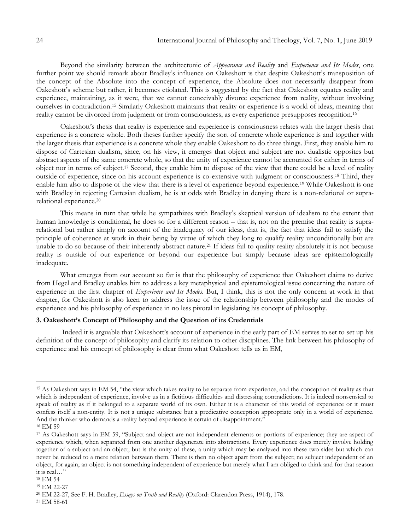Beyond the similarity between the architectonic of *Appearance and Reality* and *Experience and Its Modes*, one further point we should remark about Bradley's influence on Oakeshott is that despite Oakeshott's transposition of the concept of the Absolute into the concept of experience, the Absolute does not necessarily disappear from Oakeshott's scheme but rather, it becomes etiolated. This is suggested by the fact that Oakeshott equates reality and experience, maintaining, as it were, that we cannot conceivably divorce experience from reality, without involving ourselves in contradiction.<sup>15</sup> Similarly Oakeshott maintains that reality or experience is a world of ideas, meaning that reality cannot be divorced from judgment or from consciousness, as every experience presupposes recognition.<sup>16</sup>

Oakeshott's thesis that reality is experience and experience is consciousness relates with the larger thesis that experience is a concrete whole. Both theses further specify the sort of concrete whole experience is and together with the larger thesis that experience is a concrete whole they enable Oakeshott to do three things. First, they enable him to dispose of Cartesian dualism, since, on his view, it emerges that object and subject are not dualistic opposites but abstract aspects of the same concrete whole, so that the unity of experience cannot be accounted for either in terms of object nor in terms of subject.<sup>17</sup> Second, they enable him to dispose of the view that there could be a level of reality outside of experience, since on his account experience is co-extensive with judgment or consciousness.<sup>18</sup> Third, they enable him also to dispose of the view that there is a level of experience beyond experience.<sup>19</sup> While Oakeshott is one with Bradley in rejecting Cartesian dualism, he is at odds with Bradley in denying there is a non-relational or suprarelational experience.<sup>20</sup>

This means in turn that while he sympathizes with Bradley's skeptical version of idealism to the extent that human knowledge is conditional, he does so for a different reason – that is, not on the premise that reality is suprarelational but rather simply on account of the inadequacy of our ideas, that is, the fact that ideas fail to satisfy the principle of coherence at work in their being by virtue of which they long to qualify reality unconditionally but are unable to do so because of their inherently abstract nature.<sup>21</sup> If ideas fail to quality reality absolutely it is not because reality is outside of our experience or beyond our experience but simply because ideas are epistemologically inadequate.

What emerges from our account so far is that the philosophy of experience that Oakeshott claims to derive from Hegel and Bradley enables him to address a key metaphysical and epistemological issue concerning the nature of experience in the first chapter of *Experience and Its Modes.* But, I think, this is not the only concern at work in that chapter, for Oakeshott is also keen to address the issue of the relationship between philosophy and the modes of experience and his philosophy of experience in no less pivotal in legislating his concept of philosophy.

## **3. Oakeshott's Concept of Philosophy and the Question of its Credentials**

Indeed it is arguable that Oakeshott's account of experience in the early part of EM serves to set to set up his definition of the concept of philosophy and clarify its relation to other disciplines. The link between his philosophy of experience and his concept of philosophy is clear from what Oakeshott tells us in EM,

<sup>&</sup>lt;sup>15</sup> As Oakeshott says in EM 54, "the view which takes reality to be separate from experience, and the conception of reality as that which is independent of experience, involve us in a fictitious difficulties and distressing contradictions. It is indeed nonsensical to speak of reality as if it belonged to a separate world of its own. Either it is a character of this world of experience or it must confess itself a non-entity. It is not a unique substance but a predicative conception appropriate only in a world of experience. And the thinker who demands a reality beyond experience is certain of disappointment."

<sup>16</sup> EM 59

<sup>&</sup>lt;sup>17</sup> As Oakeshott says in EM 59, "Subject and object are not independent elements or portions of experience; they are aspect of experience which, when separated from one another degenerate into abstractions. Every experience does merely involve holding together of a subject and an object, but is the unity of these, a unity which may be analyzed into these two sides but which can never be reduced to a mere relation between them. There is then no object apart from the subject; no subject independent of an object, for again, an object is not something independent of experience but merely what I am obliged to think and for that reason it is real…"

<sup>18</sup> EM 54

<sup>19</sup> EM 22-27

<sup>20</sup> EM 22-27, See F. H. Bradley, *Essays on Truth and Reality* (Oxford: Clarendon Press, 1914), 178.

<sup>21</sup> EM 58-61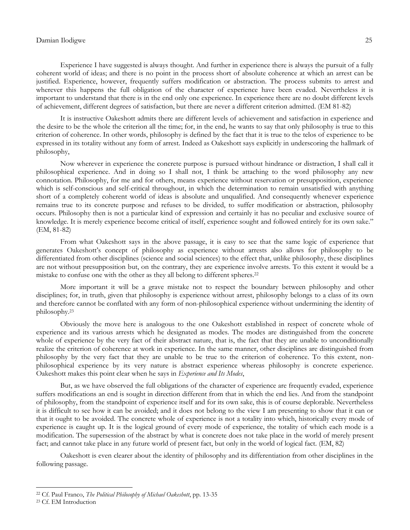Experience I have suggested is always thought. And further in experience there is always the pursuit of a fully coherent world of ideas; and there is no point in the process short of absolute coherence at which an arrest can be justified. Experience, however, frequently suffers modification or abstraction. The process submits to arrest and wherever this happens the full obligation of the character of experience have been evaded. Nevertheless it is important to understand that there is in the end only one experience. In experience there are no doubt different levels of achievement, different degrees of satisfaction, but there are never a different criterion admitted. (EM 81-82)

It is instructive Oakeshott admits there are different levels of achievement and satisfaction in experience and the desire to be the whole the criterion all the time; for, in the end, he wants to say that only philosophy is true to this criterion of coherence. In other words, philosophy is defined by the fact that it is true to the telos of experience to be expressed in its totality without any form of arrest. Indeed as Oakeshott says explicitly in underscoring the hallmark of philosophy,

Now wherever in experience the concrete purpose is pursued without hindrance or distraction, I shall call it philosophical experience. And in doing so I shall not, I think be attaching to the word philosophy any new connotation. Philosophy, for me and for others, means experience without reservation or presupposition, experience which is self-conscious and self-critical throughout, in which the determination to remain unsatisfied with anything short of a completely coherent world of ideas is absolute and unqualified. And consequently whenever experience remains true to its concrete purpose and refuses to be divided, to suffer modification or abstraction, philosophy occurs. Philosophy then is not a particular kind of expression and certainly it has no peculiar and exclusive source of knowledge. It is merely experience become critical of itself, experience sought and followed entirely for its own sake." (EM, 81-82)

From what Oakeshott says in the above passage, it is easy to see that the same logic of experience that generates Oakeshott's concept of philosophy as experience without arrests also allows for philosophy to be differentiated from other disciplines (science and social sciences) to the effect that, unlike philosophy, these disciplines are not without presupposition but, on the contrary, they are experience involve arrests. To this extent it would be a mistake to confuse one with the other as they all belong to different spheres.<sup>22</sup>

More important it will be a grave mistake not to respect the boundary between philosophy and other disciplines; for, in truth, given that philosophy is experience without arrest, philosophy belongs to a class of its own and therefore cannot be conflated with any form of non-philosophical experience without undermining the identity of philosophy.<sup>23</sup>

Obviously the move here is analogous to the one Oakeshott established in respect of concrete whole of experience and its various arrests which he designated as modes. The modes are distinguished from the concrete whole of experience by the very fact of their abstract nature, that is, the fact that they are unable to unconditionally realize the criterion of coherence at work in experience. In the same manner, other disciplines are distinguished from philosophy by the very fact that they are unable to be true to the criterion of coherence. To this extent, nonphilosophical experience by its very nature is abstract experience whereas philosophy is concrete experience. Oakeshott makes this point clear when he says in *Experience and Its Modes*,

But, as we have observed the full obligations of the character of experience are frequently evaded, experience suffers modifications an end is sought in direction different from that in which the end lies. And from the standpoint of philosophy, from the standpoint of experience itself and for its own sake, this is of course deplorable. Nevertheless it is difficult to see how it can be avoided; and it does not belong to the view I am presenting to show that it can or that it ought to be avoided. The concrete whole of experience is not a totality into which, historically every mode of experience is caught up. It is the logical ground of every mode of experience, the totality of which each mode is a modification. The supersession of the abstract by what is concrete does not take place in the world of merely present fact; and cannot take place in any future world of present fact, but only in the world of logical fact. (EM, 82)

Oakeshott is even clearer about the identity of philosophy and its differentiation from other disciplines in the following passage.

<sup>22</sup> Cf. Paul Franco, *The Political Philosophy of Michael Oakeshott*, pp. 13-35

<sup>23</sup> Cf. EM Introduction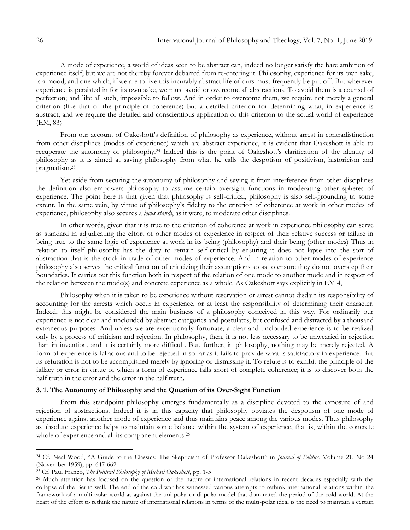A mode of experience, a world of ideas seen to be abstract can, indeed no longer satisfy the bare ambition of experience itself, but we are not thereby forever debarred from re-entering it. Philosophy, experience for its own sake, is a mood, and one which, if we are to live this incurably abstract life of ours must frequently be put off. But wherever experience is persisted in for its own sake, we must avoid or overcome all abstractions. To avoid them is a counsel of perfection; and like all such, impossible to follow. And in order to overcome them, we require not merely a general criterion (like that of the principle of coherence) but a detailed criterion for determining what, in experience is abstract; and we require the detailed and conscientious application of this criterion to the actual world of experience (EM, 83)

From our account of Oakeshott's definition of philosophy as experience, without arrest in contradistinction from other disciplines (modes of experience) which are abstract experience, it is evident that Oakeshott is able to recuperate the autonomy of philosophy.<sup>24</sup> Indeed this is the point of Oakeshott's clarification of the identity of philosophy as it is aimed at saving philosophy from what he calls the despotism of positivism, historicism and pragmatism.<sup>25</sup>

Yet aside from securing the autonomy of philosophy and saving it from interference from other disciplines the definition also empowers philosophy to assume certain oversight functions in moderating other spheres of experience. The point here is that given that philosophy is self-critical, philosophy is also self-grounding to some extent. In the same vein, by virtue of philosophy's fidelity to the criterion of coherence at work in other modes of experience, philosophy also secures a *locus standi*, as it were, to moderate other disciplines.

In other words, given that it is true to the criterion of coherence at work in experience philosophy can serve as standard in adjudicating the effort of other modes of experience in respect of their relative success or failure in being true to the same logic of experience at work in its being (philosophy) and their being (other modes) Thus in relation to itself philosophy has the duty to remain self-critical by ensuring it does not lapse into the sort of abstraction that is the stock in trade of other modes of experience. And in relation to other modes of experience philosophy also serves the critical function of criticizing their assumptions so as to ensure they do not overstep their boundaries. It carries out this function both in respect of the relation of one mode to another mode and in respect of the relation between the mode(s) and concrete experience as a whole. As Oakeshott says explicitly in EM 4,

Philosophy when it is taken to be experience without reservation or arrest cannot disdain its responsibility of accounting for the arrests which occur in experience, or at least the responsibility of determining their character. Indeed, this might be considered the main business of a philosophy conceived in this way. For ordinarily our experience is not clear and unclouded by abstract categories and postulates, but confused and distracted by a thousand extraneous purposes. And unless we are exceptionally fortunate, a clear and unclouded experience is to be realized only by a process of criticism and rejection. In philosophy, then, it is not less necessary to be unwearied in rejection than in invention, and it is certainly more difficult. But, further, in philosophy, nothing may be merely rejected. A form of experience is fallacious and to be rejected in so far as it fails to provide what is satisfactory in experience. But its refutation is not to be accomplished merely by ignoring or dismissing it. To refute is to exhibit the principle of the fallacy or error in virtue of which a form of experience falls short of complete coherence; it is to discover both the half truth in the error and the error in the half truth.

## **3. 1. The Autonomy of Philosophy and the Question of its Over-Sight Function**

From this standpoint philosophy emerges fundamentally as a discipline devoted to the exposure of and rejection of abstractions. Indeed it is in this capacity that philosophy obviates the despotism of one mode of experience against another mode of experience and thus maintains peace among the various modes. Thus philosophy as absolute experience helps to maintain some balance within the system of experience, that is, within the concrete whole of experience and all its component elements.<sup>26</sup>

<sup>24</sup> Cf. Neal Wood, "A Guide to the Classics: The Skepticism of Professor Oakeshott" in *Journal of Politics*, Volume 21, No 24 (November 1959), pp. 647-662

<sup>25</sup> Cf. Paul Franco, *The Political Philosophy of Michael Oakeshott*, pp. 1-5

<sup>&</sup>lt;sup>26</sup> Much attention has focused on the question of the nature of international relations in recent decades especially with the collapse of the Berlin wall. The end of the cold war has witnessed various attempts to rethink international relations within the framework of a multi-polar world as against the uni-polar or di-polar model that dominated the period of the cold world. At the heart of the effort to rethink the nature of international relations in terms of the multi-polar ideal is the need to maintain a certain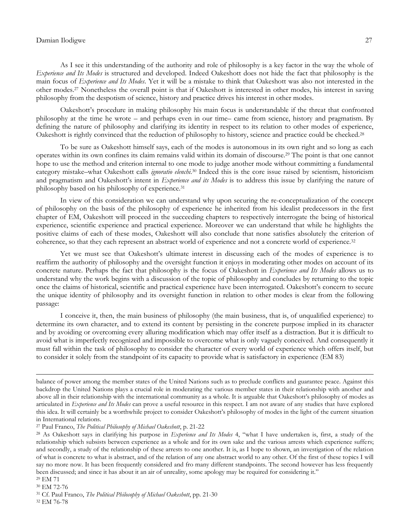As I see it this understanding of the authority and role of philosophy is a key factor in the way the whole of *Experience and Its Modes* is structured and developed. Indeed Oakeshott does not hide the fact that philosophy is the main focus of *Experience and Its Modes*. Yet it will be a mistake to think that Oakeshott was also not interested in the other modes.<sup>27</sup> Nonetheless the overall point is that if Oakeshott is interested in other modes, his interest in saving philosophy from the despotism of science, history and practice drives his interest in other modes.

Oakeshott's procedure in making philosophy his main focus is understandable if the threat that confronted philosophy at the time he wrote – and perhaps even in our time– came from science, history and pragmatism. By defining the nature of philosophy and clarifying its identity in respect to its relation to other modes of experience, Oakeshott is rightly convinced that the reduction of philosophy to history, science and practice could be checked.<sup>28</sup>

To be sure as Oakeshott himself says, each of the modes is autonomous in its own right and so long as each operates within its own confines its claim remains valid within its domain of discourse.<sup>29</sup> The point is that one cannot hope to use the method and criterion internal to one mode to judge another mode without committing a fundamental category mistake–what Oakeshott calls *ignoratio elenchi*. <sup>30</sup> Indeed this is the core issue raised by scientism, historicism and pragmatism and Oakeshott's intent in *Experience and its Modes* is to address this issue by clarifying the nature of philosophy based on his philosophy of experience.<sup>31</sup>

In view of this consideration we can understand why upon securing the re-conceptualization of the concept of philosophy on the basis of the philosophy of experience he inherited from his idealist predecessors in the first chapter of EM, Oakeshott will proceed in the succeeding chapters to respectively interrogate the being of historical experience, scientific experience and practical experience. Moreover we can understand that while he highlights the positive claims of each of these modes, Oakeshott will also conclude that none satisfies absolutely the criterion of coherence, so that they each represent an abstract world of experience and not a concrete world of experience.<sup>32</sup>

Yet we must see that Oakeshott's ultimate interest in discussing each of the modes of experience is to reaffirm the authority of philosophy and the oversight function it enjoys in moderating other modes on account of its concrete nature. Perhaps the fact that philosophy is the focus of Oakeshott in *Experience and Its Modes* allows us to understand why the work begins with a discussion of the topic of philosophy and concludes by returning to the topic once the claims of historical, scientific and practical experience have been interrogated. Oakeshott's concern to secure the unique identity of philosophy and its oversight function in relation to other modes is clear from the following passage:

I conceive it, then, the main business of philosophy (the main business, that is, of unqualified experience) to determine its own character, and to extend its content by persisting in the concrete purpose implied in its character and by avoiding or overcoming every alluring modification which may offer itself as a distraction. But it is difficult to avoid what is imperfectly recognized and impossible to overcome what is only vaguely conceived. And consequently it must fall within the task of philosophy to consider the character of every world of experience which offers itself, but to consider it solely from the standpoint of its capacity to provide what is satisfactory in experience (EM 83)

balance of power among the member states of the United Nations such as to preclude conflicts and guarantee peace. Against this backdrop the United Nations plays a crucial role in moderating the various member states in their relationship with another and above all in their relationship with the international community as a whole. It is arguable that Oakeshott's philosophy of modes as articulated in *Experience and Its Modes* can prove a useful resource in this respect. I am not aware of any studies that have explored this idea. It will certainly be a worthwhile project to consider Oakeshott's philosophy of modes in the light of the current situation in International relations.

<sup>27</sup> Paul Franco, *The Political Philosophy of Michael Oakeshott*, p. 21-22

<sup>28</sup> As Oakeshott says in clarifying his purpose in *Experience and Its Modes* 4, "what I have undertaken is, first, a study of the relationship which subsists between experience as a whole and for its own sake and the various arrests which experience suffers; and secondly, a study of the relationship of these arrests to one another. It is, as I hope to shown, an investigation of the relation of what is concrete to what is abstract, and of the relation of any one abstract world to any other. Of the first of these topics I will say no more now. It has been frequently considered and fro many different standpoints. The second however has less frequently been discussed; and since it has about it an air of unreality, some apology may be required for considering it."

<sup>29</sup> EM 71

<sup>30</sup> EM 72-76

<sup>31</sup> Cf. Paul Franco, *The Political Philosophy of Michael Oakeshott*, pp. 21-30

<sup>32</sup> EM 76-78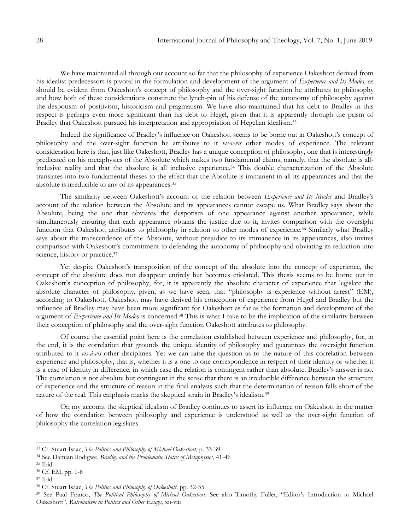We have maintained all through our account so far that the philosophy of experience Oakeshott derived from his idealist predecessors is pivotal in the formulation and development of the argument of *Experience and Its Modes,* as should be evident from Oakeshott's concept of philosophy and the over-sight function he attributes to philosophy and how both of these considerations constitute the lynch-pin of his defense of the autonomy of philosophy against the despotism of positivism, historicism and pragmatism. We have also maintained that his debt to Bradley in this respect is perhaps even more significant than his debt to Hegel, given that it is apparently through the prism of Bradley that Oakeshott pursued his interpretation and appropriation of Hegelian idealism.<sup>33</sup>

Indeed the significance of Bradley's influence on Oakeshott seems to be borne out in Oakeshott's concept of philosophy and the over-sight function he attributes to it *vis-v-vis* other modes of experience. The relevant consideration here is that, just like Oakeshott, Bradley has a unique conception of philosophy, one that is interestingly predicated on his metaphysics of the Absolute which makes two fundamental claims, namely, that the absolute is allinclusive reality and that the absolute is all inclusive experience.<sup>34</sup> This double characterization of the Absolute translates into two fundamental theses to the effect that the Absolute is immanent in all its appearances and that the absolute is irreducible to any of its appearances.<sup>35</sup>

The similarity between Oakeshott's account of the relation between *Experience and Its Modes* and Bradley's account of the relation between the Absolute and its appearances cannot escape us. What Bradley says about the Absolute, being the one that obviates the despotism of one appearance against another appearance, while simultaneously ensuring that each appearance obtains the justice due to it, invites comparison with the oversight function that Oakeshott attributes to philosophy in relation to other modes of experience.<sup>36</sup> Similarly what Bradley says about the transcendence of the Absolute, without prejudice to its immanence in its appearances, also invites comparison with Oakeshott's commitment to defending the autonomy of philosophy and obviating its reduction into science, history or practice.<sup>37</sup>

Yet despite Oakeshott's transposition of the concept of the absolute into the concept of experience, the concept of the absolute does not disappear entirely but becomes etiolated. This thesis seems to be borne out in Oakeshott's conception of philosophy, for, it is apparently the absolute character of experience that legislate the absolute character of philosophy, given, as we have seen, that "philosophy is experience without arrest" (EM), according to Oakeshott. Oakeshott may have derived his conception of experience from Hegel and Bradley but the influence of Bradley may have been more significant for Oakeshott as far as the formation and development of the argument of *Experience and Its Mode*s is concerned.<sup>38</sup> This is what I take to be the implication of the similarity between their conception of philosophy and the over-sight function Oakeshott attributes to philosophy.

Of course the essential point here is the correlation established between experience and philosophy, for, in the end, it is the correlation that grounds the unique identity of philosophy and guarantees the oversight function attributed to it *vis-à-vis* other disciplines. Yet we can raise the question as to the nature of this correlation between experience and philosophy, that is, whether it is a one to one correspondence in respect of their identity or whether it is a case of identity in difference, in which case the relation is contingent rather than absolute. Bradley's answer is no. The correlation is not absolute but contingent in the sense that there is an irreducible difference between the structure of experience and the structure of reason in the final analysis such that the determination of reason falls short of the nature of the real. This emphasis marks the skeptical strain in Bradley's idealism.<sup>39</sup>

On my account the skeptical idealism of Bradley continues to assert its influence on Oakeshott in the matter of how the correlation between philosophy and experience is understood as well as the over-sight function of philosophy the correlation legislates.

<sup>33</sup> Cf. Stuart Isaac, *The Politics and Philosophy of Michael Oakeshott*, p. 33-39

<sup>34</sup> See Damian Ilodigwe, *Bradley and the Problematic Status of Metaphysics*, 41-46

<sup>35</sup> Ibid.

<sup>36</sup> Cf. EM, pp. 1-8

<sup>37</sup> Ibid

<sup>38</sup> Cf. Stuart Isaac, *The Politics and Philosophy of Oakeshott,* pp. 32-35

<sup>39</sup> See Paul Franco, *The Political Philosophy of Michael Oakeshott*. See also Timothy Fuller, "Editor's Introduction to Michael Oakeshott", *Rationalism in Politics and Other Essays*, xii-viii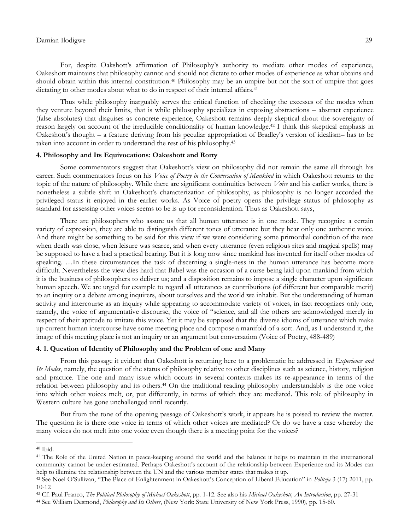For, despite Oakshott's affirmation of Philosophy's authority to mediate other modes of experience, Oakeshott maintains that philosophy cannot and should not dictate to other modes of experience as what obtains and should obtain within this internal constitution.<sup>40</sup> Philosophy may be an umpire but not the sort of umpire that goes dictating to other modes about what to do in respect of their internal affairs.<sup>41</sup>

Thus while philosophy inarguably serves the critical function of checking the excesses of the modes when they venture beyond their limits, that is while philosophy specializes in exposing abstractions – abstract experience (false absolutes) that disguises as concrete experience, Oakeshott remains deeply skeptical about the sovereignty of reason largely on account of the irreducible conditionality of human knowledge.<sup>42</sup> I think this skeptical emphasis in Oakeshott's thought – a feature deriving from his peculiar appropriation of Bradley's version of idealism– has to be taken into account in order to understand the rest of his philosophy.<sup>43</sup>

## **4. Philosophy and Its Equivocations: Oakeshott and Rorty**

Some commentators suggest that Oakeshott's view on philosophy did not remain the same all through his career. Such commentators focus on his *Voice of Poetry in the Conversation of Mankind* in which Oakeshott returns to the topic of the nature of philosophy. While there are significant continuities between *Voice* and his earlier works, there is nonetheless a subtle shift in Oakeshott's characterization of philosophy, as philosophy is no longer accorded the privileged status it enjoyed in the earlier works. As Voice of poetry opens the privilege status of philosophy as standard for assessing other voices seems to be is up for reconsideration. Thus as Oakeshott says,

There are philosophers who assure us that all human utterance is in one mode. They recognize a certain variety of expression, they are able to distinguish different tones of utterance but they hear only one authentic voice. And there might be something to be said for this view if we were considering some primordial condition of the race when death was close, when leisure was scarce, and when every utterance (even religious rites and magical spells) may be supposed to have a had a practical bearing. But it is long now since mankind has invented for itself other modes of speaking. …In these circumstances the task of discerning a single-ness in the human utterance has become more difficult. Nevertheless the view dies hard that Babel was the occasion of a curse being laid upon mankind from which it is the business of philosophers to deliver us; and a disposition remains to impose a single character upon significant human speech. We are urged for example to regard all utterances as contributions (of different but comparable merit) to an inquiry or a debate among inquirers, about ourselves and the world we inhabit. But the understanding of human activity and intercourse as an inquiry while appearing to accommodate variety of voices, in fact recognizes only one, namely, the voice of argumentative discourse, the voice of "science, and all the others are acknowledged merely in respect of their aptitude to imitate this voice. Yet it may be supposed that the diverse idioms of utterance which make up current human intercourse have some meeting place and compose a manifold of a sort. And, as I understand it, the image of this meeting place is not an inquiry or an argument but conversation (Voice of Poetry, 488-489)

## **4. 1. Question of Identity of Philosophy and the Problem of one and Many**

From this passage it evident that Oakeshott is returning here to a problematic he addressed in *Experience and Its Modes*, namely, the question of the status of philosophy relative to other disciplines such as science, history, religion and practice. The one and many issue which occurs in several contexts makes its re-appearance in terms of the relation between philosophy and its others.<sup>44</sup> On the traditional reading philosophy understandably is the one voice into which other voices melt, or, put differently, in terms of which they are mediated. This role of philosophy in Western culture has gone unchallenged until recently.

But from the tone of the opening passage of Oakeshott's work, it appears he is poised to review the matter. The question is: is there one voice in terms of which other voices are mediated? Or do we have a case whereby the many voices do not melt into one voice even though there is a meeting point for the voices?

<sup>40</sup> Ibid.

<sup>41</sup> The Role of the United Nation in peace-keeping around the world and the balance it helps to maintain in the international community cannot be under-estimated. Perhaps Oakeshott's account of the relationship between Experience and its Modes can help to illumine the relationship between the UN and the various member states that makes it up.

<sup>42</sup> See Noel O'Sullivan, "The Place of Enlightenment in Oakeshott's Conception of Liberal Education" in *Politeja* 3 (17) 2011, pp. 10-12

<sup>43</sup> Cf. Paul Franco, *The Political Philosophy of Michael Oakeshott*, pp. 1-12. See also his *Michael Oakeshott, An Introduction*, pp. 27-31

<sup>44</sup> See William Desmond, *Philosophy and Its Others*, (New York: State University of New York Press, 1990), pp. 15-60.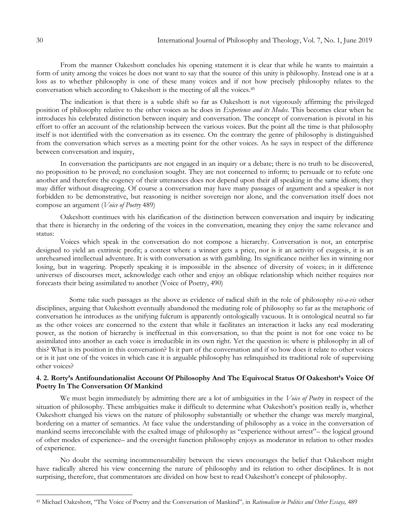From the manner Oakeshott concludes his opening statement it is clear that while he wants to maintain a form of unity among the voices he does not want to say that the source of this unity is philosophy. Instead one is at a loss as to whether philosophy is one of these many voices and if not how precisely philosophy relates to the conversation which according to Oakeshott is the meeting of all the voices.<sup>45</sup>

The indication is that there is a subtle shift so far as Oakeshott is not vigorously affirming the privileged position of philosophy relative to the other voices as he does in *Experience and its Modes.* This becomes clear when he introduces his celebrated distinction between inquiry and conversation. The concept of conversation is pivotal in his effort to offer an account of the relationship between the various voices. But the point all the time is that philosophy itself is not identified with the conversation as its essence. On the contrary the genre of philosophy is distinguished from the conversation which serves as a meeting point for the other voices. As he says in respect of the difference between conversation and inquiry,

In conversation the participants are not engaged in an inquiry or a debate; there is no truth to be discovered, no proposition to be proved; no conclusion sought. They are not concerned to inform; to persuade or to refute one another and therefore the cogency of their utterances does not depend upon their all speaking in the same idiom; they may differ without disagreeing. Of course a conversation may have many passages of argument and a speaker is not forbidden to be demonstrative, but reasoning is neither sovereign nor alone, and the conversation itself does not compose an argument (*Voice of Poetry* 489)

Oakeshott continues with his clarification of the distinction between conversation and inquiry by indicating that there is hierarchy in the ordering of the voices in the conversation, meaning they enjoy the same relevance and status:

Voices which speak in the conversation do not compose a hierarchy. Conversation is not, an enterprise designed to yield an extrinsic profit; a contest where a winner gets a price, nor is it an activity of exegesis, it is an unrehearsed intellectual adventure. It is with conversation as with gambling. Its significance neither lies in winning nor losing, but in wagering. Properly speaking it is impossible in the absence of diversity of voices; in it difference universes of discourses meet, acknowledge each other and enjoy an oblique relationship which neither requires nor forecasts their being assimilated to another (Voice of Poetry, 490)

 Some take such passages as the above as evidence of radical shift in the role of philosophy *vis-a-vis* other disciplines, arguing that Oakeshott eventually abandoned the mediating role of philosophy so far as the metaphoric of conversation he introduces as the unifying fulcrum is apparently ontologically vacuous. It is ontological neutral so far as the other voices are concerned to the extent that while it facilitates an interaction it lacks any real moderating power, as the notion of hierarchy is ineffectual in this conversation, so that the point is not for one voice to be assimilated into another as each voice is irreducible in its own right. Yet the question is: where is philosophy in all of this? What is its position in this conversation? Is it part of the conversation and if so how does it relate to other voices or is it just one of the voices in which case it is arguable philosophy has relinquished its traditional role of supervising other voices?

### **4. 2. Rorty's Antifoundationalist Account Of Philosophy And The Equivocal Status Of Oakeshott's Voice Of Poetry In The Conversation Of Mankind**

We must begin immediately by admitting there are a lot of ambiguities in the *Voice of Poetry* in respect of the situation of philosophy. These ambiguities make it difficult to determine what Oakeshott's position really is, whether Oakeshott changed his views on the nature of philosophy substantially or whether the change was merely marginal, bordering on a matter of semantics. At face value the understanding of philosophy as a voice in the conversation of mankind seems irreconcilable with the exalted image of philosophy as "experience without arrest"– the logical ground of other modes of experience– and the oversight function philosophy enjoys as moderator in relation to other modes of experience.

No doubt the seeming incommensurability between the views encourages the belief that Oakeshott might have radically altered his view concerning the nature of philosophy and its relation to other disciplines. It is not surprising, therefore, that commentators are divided on how best to read Oakeshott's concept of philosophy.

<sup>45</sup> Michael Oakeshott, "The Voice of Poetry and the Conversation of Mankind"*,* in *Rationalism in Politics and Other Essays,* 489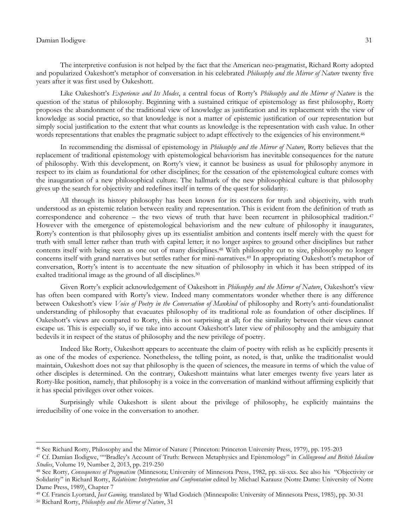The interpretive confusion is not helped by the fact that the American neo-pragmatist, Richard Rorty adopted and popularized Oakeshott's metaphor of conversation in his celebrated *Philosophy and the Mirror of Nature* twenty five years after it was first used by Oakeshott.

Like Oakeshott's *Experience and Its Modes*, a central focus of Rorty's *Philosophy and the Mirror of Nature* is the question of the status of philosophy. Beginning with a sustained critique of epistemology as first philosophy, Rorty proposes the abandonment of the traditional view of knowledge as justification and its replacement with the view of knowledge as social practice, so that knowledge is not a matter of epistemic justification of our representation but simply social justification to the extent that what counts as knowledge is the representation with cash value. In other words representations that enables the pragmatic subject to adapt effectively to the exigencies of his environment.<sup>46</sup>

In recommending the dismissal of epistemology in *Philosophy and the Mirror of Nature*, Rorty believes that the replacement of traditional epistemology with epistemological behaviorism has inevitable consequences for the nature of philosophy. With this development, on Rorty's view, it cannot be business as usual for philosophy anymore in respect to its claim as foundational for other disciplines; for the cessation of the epistemological culture comes with the inauguration of a new philosophical culture. The hallmark of the new philosophical culture is that philosophy gives up the search for objectivity and redefines itself in terms of the quest for solidarity.

All through its history philosophy has been known for its concern for truth and objectivity, with truth understood as an epistemic relation between reality and representation. This is evident from the definition of truth as correspondence and coherence – the two views of truth that have been recurrent in philosophical tradition.<sup>47</sup> However with the emergence of epistemological behaviorism and the new culture of philosophy it inaugurates, Rorty's contention is that philosophy gives up its essentialist ambition and contents itself merely with the quest for truth with small letter rather than truth with capital letter; it no longer aspires to ground other disciplines but rather contents itself with being seen as one out of many disciplines.<sup>48</sup> With philosophy cut to size, philosophy no longer concerns itself with grand narratives but settles rather for mini-narratives.<sup>49</sup> In appropriating Oakeshott's metaphor of conversation, Rorty's intent is to accentuate the new situation of philosophy in which it has been stripped of its exalted traditional image as the ground of all disciplines.<sup>50</sup>

Given Rorty's explicit acknowledgement of Oakeshott in *Philosophy and the Mirror of Nature*, Oakeshott's view has often been compared with Rorty's view. Indeed many commentators wonder whether there is any difference between Oakeshott's view *Voice of Poetry in the Conversation of Mankind* of philosophy and Rorty's anti-foundationalist understanding of philosophy that evacuates philosophy of its traditional role as foundation of other disciplines. If Oakeshott's views are compared to Rorty, this is not surprising at all; for the similarity between their views cannot escape us. This is especially so, if we take into account Oakeshott's later view of philosophy and the ambiguity that bedevils it in respect of the status of philosophy and the new privilege of poetry.

Indeed like Rorty, Oakeshott appears to accentuate the claim of poetry with relish as he explicitly presents it as one of the modes of experience. Nonetheless, the telling point, as noted, is that, unlike the traditionalist would maintain, Oakeshott does not say that philosophy is the queen of sciences, the measure in terms of which the value of other disciples is determined. On the contrary, Oakeshott maintains what later emerges twenty five years later as Rorty-like position, namely, that philosophy is a voice in the conversation of mankind without affirming explicitly that it has special privileges over other voices.

Surprisingly while Oakeshott is silent about the privilege of philosophy, he explicitly maintains the irreducibility of one voice in the conversation to another.

<sup>46</sup> See Richard Rorty, Philosophy and the Mirror of Nature ( Princeton: Princeton University Press, 1979), pp. 195-203

<sup>47</sup> Cf. Damian Ilodigwe, ""Bradley's Account of Truth: Between Metaphysics and Epistemology" in *Collingwood and British Idealism Studies*, Volume 19, Number 2, 2013, pp. 219-250

<sup>48</sup> See Rorty, *Consequences of Pragmatism* (Minnesota; University of Minnesota Press, 1982, pp. xii-xxx. See also his "Objectivity or Solidarity" in Richard Rorty, *Relativism: Interpretation and Confrontation* edited by Michael Karausz (Notre Dame: University of Notre Dame Press, 1989), Chapter 7

<sup>49</sup> Cf. Francis Lyortard, *Just Gaming,* translated by Wlad Godzich (Minneapolis: University of Minnesota Press, 1985), pp. 30-31

<sup>50</sup> Richard Rorty, *Philosophy and the Mirror of Nature*, 31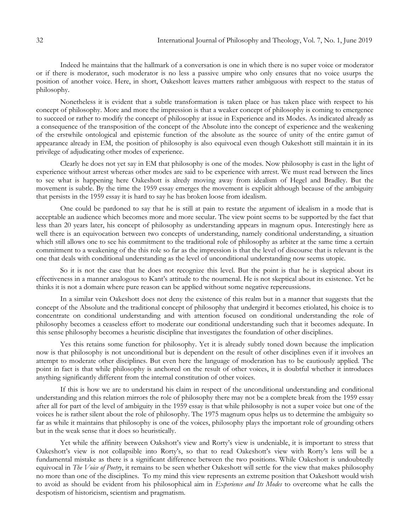Indeed he maintains that the hallmark of a conversation is one in which there is no super voice or moderator or if there is moderator, such moderator is no less a passive umpire who only ensures that no voice usurps the position of another voice. Here, in short, Oakeshott leaves matters rather ambiguous with respect to the status of philosophy.

Nonetheless it is evident that a subtle transformation is taken place or has taken place with respect to his concept of philosophy. More and more the impression is that a weaker concept of philosophy is coming to emergence to succeed or rather to modify the concept of philosophy at issue in Experience and its Modes. As indicated already as a consequence of the transposition of the concept of the Absolute into the concept of experience and the weakening of the erstwhile ontological and epistemic function of the absolute as the source of unity of the entire gamut of appearance already in EM, the position of philosophy is also equivocal even though Oakeshott still maintain it in its privilege of adjudicating other modes of experience.

Clearly he does not yet say in EM that philosophy is one of the modes. Now philosophy is cast in the light of experience without arrest whereas other modes are said to be experience with arrest. We must read between the lines to see what is happening here Oakeshott is alredy moving away from idealism of Hegel and Bradley. But the movement is subtle. By the time the 1959 essay emerges the movement is explicit although because of the ambiguity that persists in the 1959 essay it is hard to say he has broken loose from idealism.

One could be pardoned to say that he is still at pain to restate the argument of idealism in a mode that is acceptable an audience which becomes more and more secular. The view point seems to be supported by the fact that less than 20 years later, his concept of philosophy as understanding appears in magnum opus. Interestingly here as well there is an equivocation between two concepts of understanding, namely conditional understanding, a situation which still allows one to see his commitment to the traditional role of philosophy as arbiter at the same time a certain commitment to a weakening of the this role so far as the impression is that the level of discourse that is relevant is the one that deals with conditional understanding as the level of unconditional understanding now seems utopic.

So it is not the case that he does not recognize this level. But the point is that he is skeptical about its effectiveness in a manner analogous to Kant's attitude to the noumenal. He is not skeptical about its existence. Yet he thinks it is not a domain where pure reason can be applied without some negative repercussions.

In a similar vein Oakeshott does not deny the existence of this realm but in a manner that suggests that the concept of the Absolute and the traditional concept of philosophy that undergird it becomes etiolated, his choice is to concentrate on conditional understanding and with attention focused on conditional understanding the role of philosophy becomes a ceaseless effort to moderate our conditional understanding such that it becomes adequate. In this sense philosophy becomes a heuristic discipline that investigates the foundation of other disciplines.

Yes this retains some function for philosophy. Yet it is already subtly toned down because the implication now is that philosophy is not unconditional but is dependent on the result of other disciplines even if it involves an attempt to moderate other disciplines. But even here the language of moderation has to be cautiously applied. The point in fact is that while philosophy is anchored on the result of other voices, it is doubtful whether it introduces anything significantly different from the internal constitution of other voices.

If this is how we are to understand his claim in respect of the unconditional understanding and conditional understanding and this relation mirrors the role of philosophy there may not be a complete break from the 1959 essay after all for part of the level of ambiguity in the 1959 essay is that while philosophy is not a super voice but one of the voices he is rather silent about the role of philosophy. The 1975 magnum opus helps us to determine the ambiguity so far as while it maintains that philosophy is one of the voices, philosophy plays the important role of grounding others but in the weak sense that it does so heuristically.

Yet while the affinity between Oakshott's view and Rorty's view is undeniable, it is important to stress that Oakeshott's view is not collapsible into Rorty's, so that to read Oakeshott's view with Rorty's lens will be a fundamental mistake as there is a significant difference between the two positions. While Oakeshott is undoubtedly equivocal in *The Voice of Poetry*, it remains to be seen whether Oakeshott will settle for the view that makes philosophy no more than one of the disciplines. To my mind this view represents an extreme position that Oakeshott would wish to avoid as should be evident from his philosophical aim in *Experience and Its Modes* to overcome what he calls the despotism of historicism, scientism and pragmatism.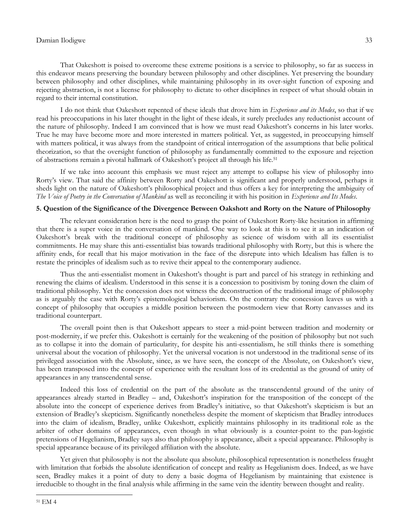That Oakeshott is poised to overcome these extreme positions is a service to philosophy, so far as success in this endeavor means preserving the boundary between philosophy and other disciplines. Yet preserving the boundary between philosophy and other disciplines, while maintaining philosophy in its over-sight function of exposing and rejecting abstraction, is not a license for philosophy to dictate to other disciplines in respect of what should obtain in regard to their internal constitution.

I do not think that Oakeshott repented of these ideals that drove him in *Experience and its Modes*, so that if we read his preoccupations in his later thought in the light of these ideals, it surely precludes any reductionist account of the nature of philosophy. Indeed I am convinced that is how we must read Oakeshott's concerns in his later works. True he may have become more and more interested in matters political. Yet, as suggested, in preoccupying himself with matters political, it was always from the standpoint of critical interrogation of the assumptions that belie political theorization, so that the oversight function of philosophy as fundamentally committed to the exposure and rejection of abstractions remain a pivotal hallmark of Oakeshott's project all through his life.<sup>51</sup>

If we take into account this emphasis we must reject any attempt to collapse his view of philosophy into Rorty's view. That said the affinity between Rorty and Oakeshott is significant and properly understood, perhaps it sheds light on the nature of Oakeshott's philosophical project and thus offers a key for interpreting the ambiguity of *The Voice of Poetry in the Conversation of Mankind* as well as reconciling it with his position in *Experience and Its Modes*.

### **5. Question of the Significance of the Divergence Between Oakshott and Rorty on the Nature of Philosophy**

The relevant consideration here is the need to grasp the point of Oakeshott Rorty-like hesitation in affirming that there is a super voice in the conversation of mankind. One way to look at this is to see it as an indication of Oakeshott's break with the traditional concept of philosophy as science of wisdom with all its essentialist commitments. He may share this anti-essentialist bias towards traditional philosophy with Rorty, but this is where the affinity ends, for recall that his major motivation in the face of the disrepute into which Idealism has fallen is to restate the principles of idealism such as to revive their appeal to the contemporary audience.

Thus the anti-essentialist moment in Oakeshott's thought is part and parcel of his strategy in rethinking and renewing the claims of idealism. Understood in this sense it is a concession to positivism by toning down the claim of traditional philosophy. Yet the concession does not witness the deconstruction of the traditional image of philosophy as is arguably the case with Rorty's epistemological behaviorism. On the contrary the concession leaves us with a concept of philosophy that occupies a middle position between the postmodern view that Rorty canvasses and its traditional counterpart.

The overall point then is that Oakeshott appears to steer a mid-point between tradition and modernity or post-modernity, if we prefer this. Oakeshott is certainly for the weakening of the position of philosophy but not such as to collapse it into the domain of particularity, for despite his anti-essentialism, he still thinks there is something universal about the vocation of philosophy. Yet the universal vocation is not understood in the traditional sense of its privileged association with the Absolute, since, as we have seen, the concept of the Absolute, on Oakeshott's view, has been transposed into the concept of experience with the resultant loss of its credential as the ground of unity of appearances in any transcendental sense.

Indeed this loss of credential on the part of the absolute as the transcendental ground of the unity of appearances already started in Bradley – and, Oakeshott's inspiration for the transposition of the concept of the absolute into the concept of experience derives from Bradley's initiative, so that Oakeshott's skepticism is but an extension of Bradley's skepticism. Significantly nonetheless despite the moment of skepticism that Bradley introduces into the claim of idealism, Bradley, unlike Oakeshott, explicitly maintains philosophy in its traditional role as the arbiter of other domains of appearances, even though in what obviously is a counter-point to the pan-logistic pretensions of Hegelianism, Bradley says also that philosophy is appearance, albeit a special appearance. Philosophy is special appearance because of its privileged affiliation with the absolute.

Yet given that philosophy is not the absolute qua absolute, philosophical representation is nonetheless fraught with limitation that forbids the absolute identification of concept and reality as Hegelianism does. Indeed, as we have seen, Bradley makes it a point of duty to deny a basic dogma of Hegelianism by maintaining that existence is irreducible to thought in the final analysis while affirming in the same vein the identity between thought and reality.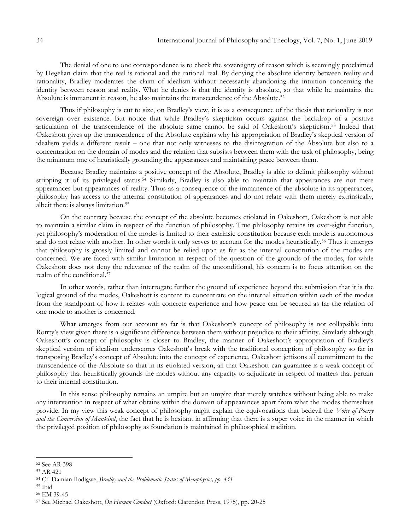The denial of one to one correspondence is to check the sovereignty of reason which is seemingly proclaimed by Hegelian claim that the real is rational and the rational real. By denying the absolute identity between reality and rationality, Bradley moderates the claim of idealism without necessarily abandoning the intuition concerning the identity between reason and reality. What he denies is that the identity is absolute, so that while he maintains the Absolute is immanent in reason, he also maintains the transcendence of the Absolute.<sup>52</sup>

Thus if philosophy is cut to size, on Bradley's view, it is as a consequence of the thesis that rationality is not sovereign over existence. But notice that while Bradley's skepticism occurs against the backdrop of a positive articulation of the transcendence of the absolute same cannot be said of Oakeshott's skepticism.<sup>53</sup> Indeed that Oakeshott gives up the transcendence of the Absolute explains why his appropriation of Bradley's skeptical version of idealism yields a different result – one that not only witnesses to the disintegration of the Absolute but also to a concentration on the domain of modes and the relation that subsists between them with the task of philosophy, being the minimum one of heuristically grounding the appearances and maintaining peace between them.

Because Bradley maintains a positive concept of the Absolute, Bradley is able to delimit philosophy without stripping it of its privileged status.<sup>54</sup> Similarly, Bradley is also able to maintain that appearances are not mere appearances but appearances of reality. Thus as a consequence of the immanence of the absolute in its appearances, philosophy has access to the internal constitution of appearances and do not relate with them merely extrinsically, albeit there is always limitation.<sup>55</sup>

On the contrary because the concept of the absolute becomes etiolated in Oakeshott, Oakeshott is not able to maintain a similar claim in respect of the function of philosophy. True philosophy retains its over-sight function, yet philosophy's moderation of the modes is limited to their extrinsic constitution because each mode is autonomous and do not relate with another. In other words it only serves to account for the modes heuristically.<sup>56</sup> Thus it emerges that philosophy is grossly limited and cannot be relied upon as far as the internal constitution of the modes are concerned. We are faced with similar limitation in respect of the question of the grounds of the modes, for while Oakeshott does not deny the relevance of the realm of the unconditional, his concern is to focus attention on the realm of the conditional.<sup>57</sup>

In other words, rather than interrogate further the ground of experience beyond the submission that it is the logical ground of the modes, Oakeshott is content to concentrate on the internal situation within each of the modes from the standpoint of how it relates with concrete experience and how peace can be secured as far the relation of one mode to another is concerned.

What emerges from our account so far is that Oakeshott's concept of philosophy is not collapsible into Rotrty's view given there is a significant difference between them without prejudice to their affinity. Similarly although Oakeshott's concept of philosophy is closer to Bradley, the manner of Oakeshott's appropriation of Bradley's skeptical version of idealism underscores Oakeshott's break with the traditional conception of philosophy so far in transposing Bradley's concept of Absolute into the concept of experience, Oakeshott jettisons all commitment to the transcendence of the Absolute so that in its etiolated version, all that Oakeshott can guarantee is a weak concept of philosophy that heuristically grounds the modes without any capacity to adjudicate in respect of matters that pertain to their internal constitution.

In this sense philosophy remains an umpire but an umpire that merely watches without being able to make any intervention in respect of what obtains within the domain of appearances apart from what the modes themselves provide. In my view this weak concept of philosophy might explain the equivocations that bedevil the *Voice of Poetry and the Conversion of Mankind*, the fact that he is hesitant in affirming that there is a super voice in the manner in which the privileged position of philosophy as foundation is maintained in philosophical tradition.

<sup>52</sup> See AR 398

<sup>53</sup> AR 421

<sup>54</sup> Cf. Damian Ilodigwe, *Bradley and the Problematic Status of Metaphysics, pp. 431*

<sup>55</sup> Ibid

<sup>56</sup> EM 39-45

<sup>57</sup> See Michael Oakeshott, *On Human Conduct* (Oxford: Clarendon Press, 1975), pp. 20-25